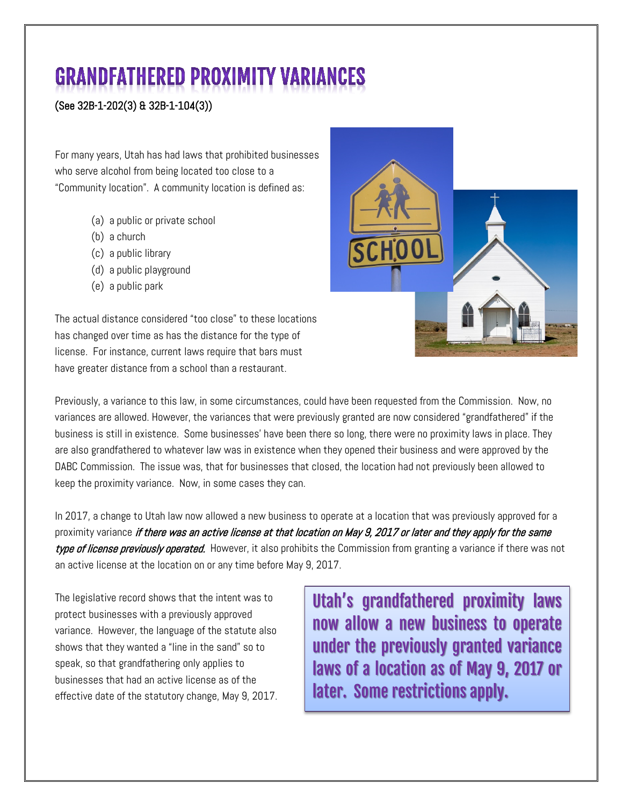## **GRANDFATHERED PROXIMITY VARIANCES**

## (See 32B-1-202(3) & 32B-1-104(3))

For many years, Utah has had laws that prohibited businesses who serve alcohol from being located too close to a "Community location". A community location is defined as:

- (a) a public or private school
- (b) a church
- (c) a public library
- (d) a public playground
- (e) a public park

The actual distance considered "too close" to these locations has changed over time as has the distance for the type of license. For instance, current laws require that bars must have greater distance from a school than a restaurant.



Previously, a variance to this law, in some circumstances, could have been requested from the Commission. Now, no variances are allowed. However, the variances that were previously granted are now considered "grandfathered" if the business is still in existence. Some businesses' have been there so long, there were no proximity laws in place. They are also grandfathered to whatever law was in existence when they opened their business and were approved by the DABC Commission. The issue was, that for businesses that closed, the location had not previously been allowed to keep the proximity variance. Now, in some cases they can.

In 2017, a change to Utah law now allowed a new business to operate at a location that was previously approved for a proximity variance *if there was an active license at that location on May 9, 2017 or later and they apply for the same* type of license previously operated. However, it also prohibits the Commission from granting a variance if there was not an active license at the location on or any time before May 9, 2017.

The legislative record shows that the intent was to protect businesses with a previously approved variance. However, the language of the statute also shows that they wanted a "line in the sand" so to speak, so that grandfathering only applies to businesses that had an active license as of the effective date of the statutory change, May 9, 2017. Utah's grandfathered proximity laws now allow a new business to operate under the previously granted variance laws of a location as of May 9, 2017 or later. Some restrictions apply.